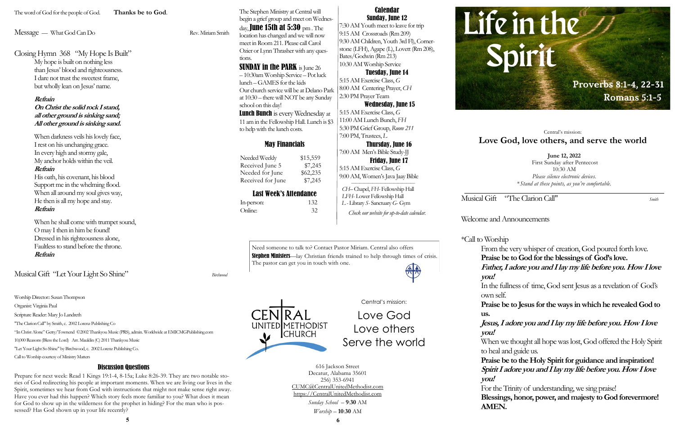Musical Gift "The Clarion Call" *Smith*

## Welcome and Announcements

## \*Call to Worship

From the very whisper of creation, God poured forth love. **Praise be to God for the blessings of God's love. Father, I adore you and I lay my life before you. How I love** 

In the fullness of time, God sent Jesus as a revelation of God's

**Praise be to Jesus for the ways in which he revealed God to** 

Need someone to talk to? Contact Pastor Miriam. Central also offers Stephen Ministers—lay Christian friends trained to help through times of crisis. The pastor can get you in touch with one. 無人

# **Jesus, I adore you and I lay my life before you. How I love**

When we thought all hope was lost, God offered the Holy Spirit to heal and guide us.

**you!** own self. **us. you! you! AMEN.**

Needed Weekly \$15,559 Received June 5 \$7,245 Needed for June \$62,235 Received for June \$7,245

> **Praise be to the Holy Spirit for guidance and inspiration! Spirit I adore you and I lay my life before you. How I love**

For the Trinity of understanding, we sing praise! **Blessings, honor, power, and majesty to God forevermore!** 

## May Financials

# Last Week's Attendance

| In-person: | 132 |
|------------|-----|
| Online:    | 32  |

**June 12, 2022** First Sunday after Pentecost 10:30 AM *Please silence electronic devices*. \**Stand at these points, as you're comfortable.*

# Central's mission: **Love God, love others, and serve the world**

**SUNDAY in the PARK** is June 26 – 10:30am Worship Service – Pot luck lunch –GAMES for the kids Our church service will be at Delano Park at 10:30 – there will NOT be any Sunday school on this day!

**Lunch Bunch** is every Wednesday at 11 am in the Fellowship Hall. Lunch is \$3 to help with the lunch costs.



*Sunday School* – **9**:**30** AM *Worship* – **10**:**30** AM

### Calendar Sunday, June 12

7:30 AM Youth meet to leave for trip 9:15 AM Crossroads (Rm 209) 9:30 AM Children, Youth 3rd Fl), Cornerstone (LFH), Agape (L), Lovett (Rm 208), Bates/Godwin (Rm 213) 10:30 AM Worship Service

### Tuesday, June 14

5:15 AM Exercise Class, *G*  8:00 AM Centering Prayer, *CH* 2:30 PM Prayer Team

#### Wednesday, June 15

5:15 AM Exercise Class, *G*  11:00 AM Lunch Bunch, *FH* 5:30 PM Grief Group, *Room 211* 7:00 PM, Trustees, *L*

# Thursday, June 16

7:00 AM Men's Bible Study-JJ Friday, June 17 5:15 AM Exercise Class, *G*  9:00 AM, Women's Java Jaay Bible

 *——————————————— CH–* Chapel, *FH*- Fellowship Hall  *LFH*- Lower Fellowship Hall *L -* Library *S*- Sanctuary *G*- Gym

*Check our website for up-to-date calendar.*



The Stephen Ministry at Central will begin a grief group and meet on Wednesday, June 15th at 5:30  $pm$ . The location has changed and we will now meet in Room 211. Please call Carol Ozier or Lynn Thrasher with any questions.

Discussion Questions Prepare for next week: Read 1 Kings 19:1-4, 8-15a; Luke 8:26-39. They are two notable stories of God redirecting his people at important moments. When we are living our lives in the Spirit, sometimes we hear from God with instructions that might not make sense right away. Have you ever had this happen? Which story feels more familiar to you? What does it mean for God to show up in the wilderness for the prophet in hiding? For the man who is pos-

sessed? Has God shown up in your life recently?

The word of God for the people of God. **Thanks be to God**.

Message — What God Can Do Rev. Miriam Smith

Closing Hymn 368 "My Hope Is Built"

My hope is built on nothing less than Jesus' blood and righteousness. I dare not trust the sweetest frame, but wholly lean on Jesus' name.

#### **Refrain**

**On Christ the solid rock I stand, all other ground is sinking sand; All other ground is sinking sand.**

When darkness veils his lovely face, I rest on his unchanging grace. In every high and stormy gale, My anchor holds within the veil.

## **Refrain**

His oath, his covenant, his blood Support me in the whelming flood. When all around my soul gives way, He then is all my hope and stay. **Refrain**

When he shall come with trumpet sound, O may I then in him be found! Dressed in his righteousness alone, Faultless to stand before the throne. **Refrain** 

Musical Gift "Let Your Light So Shine" *Birchwood*

Worship Director:: Susan Thompson

Organist: Virginia Paul

Scripture Reader: Mary Jo Landreth

"The Clarion Call" by Smith, c. 2002 Lorenz Publishing Co

"In Christ Alone" Getty/Townend ©2002 Thankyou Music (PRS), admin. Worldwide at EMICMGPublishing.com

10,000 Reasons (Bless the Lord) Arr. Mauldin (C) 2011 Thankyou Music "Let Your Light So Shine" by Birchwood, c. 2002 Lorenz Publishing Co.

Call to Worship courtesy of Ministry Matters